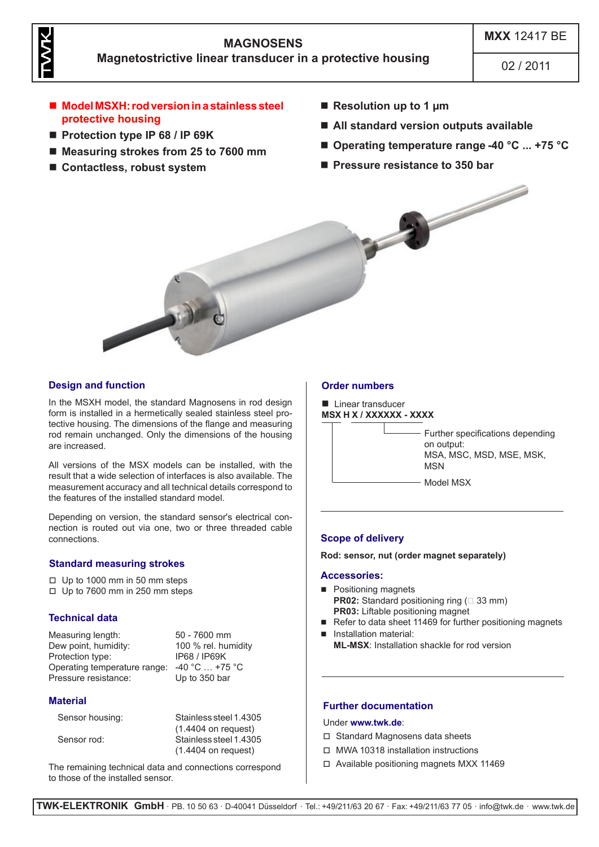

# **MAGNOSENS Magnetostrictive linear transducer in a protective housing**

02 / 2011

- Model MSXH: rod version in a stainless steel **protective housing**
- Protection type IP 68 / IP 69K
- Measuring strokes from 25 to 7600 mm
- Contactless, robust system
- Resolution up to 1 µm
- **All standard version outputs available**
- Operating temperature range -40 °C ... +75 °C
- **Pressure resistance to 350 bar**



# **Design and function**

In the MSXH model, the standard Magnosens in rod design form is installed in a hermetically sealed stainless steel protective housing. The dimensions of the flange and measuring rod remain unchanged. Only the dimensions of the housing are increased.

All versions of the MSX models can be installed, with the result that a wide selection of interfaces is also available. The measurement accuracy and all technical details correspond to the features of the installed standard model.

Depending on version, the standard sensor's electrical connection is routed out via one, two or three threaded cable connections. **Scope of delivery**

## **Standard measuring strokes**

- $\Box$  Up to 1000 mm in 50 mm steps
- $\Box$  Up to 7600 mm in 250 mm steps

## **Technical data**

Measuring length: 50 - 7600 mm Dew point, humidity: 100 % rel. humidity<br>Protection type: 1968 / IP68 / IP69 K Protection type: Operating temperature range: -40 °C ... +75 °C<br>Pressure resistance: Up to 350 bar Pressure resistance:

## **Material**

| Sensor housing: | Stainless steel 1.4305 |
|-----------------|------------------------|
|                 | $(1.4404$ on request)  |
| Sensor rod:     | Stainless steel 1.4305 |
|                 | $(1.4404$ on request)  |
|                 |                        |

The remaining technical data and connections correspond to those of the installed sensor.

## **Order numbers**

**Linear transducer MSX H X / XXXXXX - XXXX**



**Rod: sensor, nut (order magnet separately)**

#### **Accessories:**

- **Positioning magnets PR02:** Standard positioning ring (□ 33 mm) **PR03:** Liftable positioning magnet
- Refer to data sheet 11469 for further positioning magnets
- **Installation material: ML-MSX**: Installation shackle for rod version

## **Further documentation**

#### Under **www.twk.de**:

- $\Box$  Standard Magnosens data sheets
- $\Box$  MWA 10318 installation instructions
- $\Box$  Available positioning magnets MXX 11469

**TWK-ELEKTRONIK GmbH** · PB. 10 50 63 · D-40041 Düsseldorf · Tel.: +49/211/63 20 67 · Fax: +49/211/63 77 05 · info@twk.de · www.twk.de